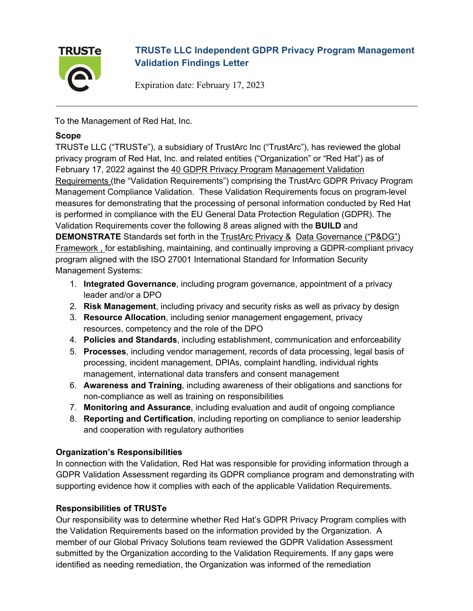

# **TRUSTe LLC Independent GDPR Privacy Program Management Validation Findings Letter**

Expiration date: February 17, 2023

To the Management of Red Hat, Inc.

#### **Scope**

TRUSTe LLC ("TRUSTe"), a subsidiary of TrustArc Inc ("TrustArc"), has reviewed the global privacy program of Red Hat, Inc. and related entities ("Organization" or "Red Hat") as of February 17, 2022 against the 40 GDPR Privacy Program Management Validation Requirements (the "Validation Requirements") comprising the TrustArc GDPR Privacy Program Management Compliance Validation. These Validation Requirements focus on program-level measures for demonstrating that the processing of personal information conducted by Red Hat is performed in compliance with the EU General Data Protection Regulation (GDPR). The Validation Requirements cover the following 8 areas aligned with the **BUILD** and **DEMONSTRATE** Standards set forth in the TrustArc Privacy & Data Governance ("P&DG") Framework , for establishing, maintaining, and continually improving a GDPR-compliant privacy program aligned with the ISO 27001 International Standard for Information Security Management Systems:

- 1. **Integrated Governance**, including program governance, appointment of a privacy leader and/or a DPO
- 2. **Risk Management**, including privacy and security risks as well as privacy by design
- 3. **Resource Allocation**, including senior management engagement, privacy resources, competency and the role of the DPO
- 4. **Policies and Standards**, including establishment, communication and enforceability
- 5. **Processes**, including vendor management, records of data processing, legal basis of processing, incident management, DPIAs, complaint handling, individual rights management, international data transfers and consent management
- 6. **Awareness and Training**, including awareness of their obligations and sanctions for non-compliance as well as training on responsibilities
- 7. **Monitoring and Assurance**, including evaluation and audit of ongoing compliance
- 8. **Reporting and Certification**, including reporting on compliance to senior leadership and cooperation with regulatory authorities

#### **Organization's Responsibilities**

In connection with the Validation, Red Hat was responsible for providing information through a GDPR Validation Assessment regarding its GDPR compliance program and demonstrating with supporting evidence how it complies with each of the applicable Validation Requirements.

#### **Responsibilities of TRUSTe**

Our responsibility was to determine whether Red Hat's GDPR Privacy Program complies with the Validation Requirements based on the information provided by the Organization. A member of our Global Privacy Solutions team reviewed the GDPR Validation Assessment submitted by the Organization according to the Validation Requirements. If any gaps were identified as needing remediation, the Organization was informed of the remediation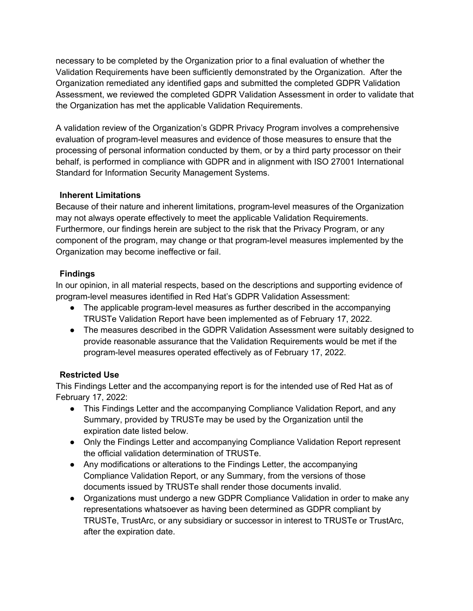necessary to be completed by the Organization prior to a final evaluation of whether the Validation Requirements have been sufficiently demonstrated by the Organization. After the Organization remediated any identified gaps and submitted the completed GDPR Validation Assessment, we reviewed the completed GDPR Validation Assessment in order to validate that the Organization has met the applicable Validation Requirements.

A validation review of the Organization's GDPR Privacy Program involves a comprehensive evaluation of program-level measures and evidence of those measures to ensure that the processing of personal information conducted by them, or by a third party processor on their behalf, is performed in compliance with GDPR and in alignment with ISO 27001 International Standard for Information Security Management Systems.

#### **Inherent Limitations**

Because of their nature and inherent limitations, program-level measures of the Organization may not always operate effectively to meet the applicable Validation Requirements. Furthermore, our findings herein are subject to the risk that the Privacy Program, or any component of the program, may change or that program-level measures implemented by the Organization may become ineffective or fail.

### **Findings**

In our opinion, in all material respects, based on the descriptions and supporting evidence of program-level measures identified in Red Hat's GDPR Validation Assessment:

- The applicable program-level measures as further described in the accompanying TRUSTe Validation Report have been implemented as of February 17, 2022.
- The measures described in the GDPR Validation Assessment were suitably designed to provide reasonable assurance that the Validation Requirements would be met if the program-level measures operated effectively as of February 17, 2022.

#### **Restricted Use**

This Findings Letter and the accompanying report is for the intended use of Red Hat as of February 17, 2022:

- This Findings Letter and the accompanying Compliance Validation Report, and any Summary, provided by TRUSTe may be used by the Organization until the expiration date listed below.
- Only the Findings Letter and accompanying Compliance Validation Report represent the official validation determination of TRUSTe.
- Any modifications or alterations to the Findings Letter, the accompanying Compliance Validation Report, or any Summary, from the versions of those documents issued by TRUSTe shall render those documents invalid.
- Organizations must undergo a new GDPR Compliance Validation in order to make any representations whatsoever as having been determined as GDPR compliant by TRUSTe, TrustArc, or any subsidiary or successor in interest to TRUSTe or TrustArc, after the expiration date.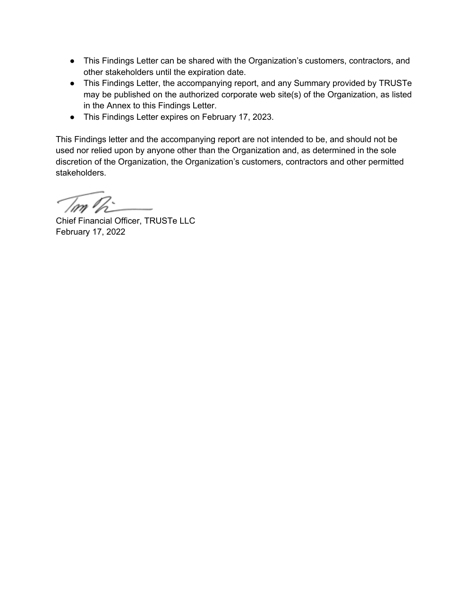- This Findings Letter can be shared with the Organization's customers, contractors, and other stakeholders until the expiration date.
- This Findings Letter, the accompanying report, and any Summary provided by TRUSTe may be published on the authorized corporate web site(s) of the Organization, as listed in the Annex to this Findings Letter.
- This Findings Letter expires on February 17, 2023.

This Findings letter and the accompanying report are not intended to be, and should not be used nor relied upon by anyone other than the Organization and, as determined in the sole discretion of the Organization, the Organization's customers, contractors and other permitted stakeholders.

7m Ir

Chief Financial Officer, TRUSTe LLC February 17, 2022